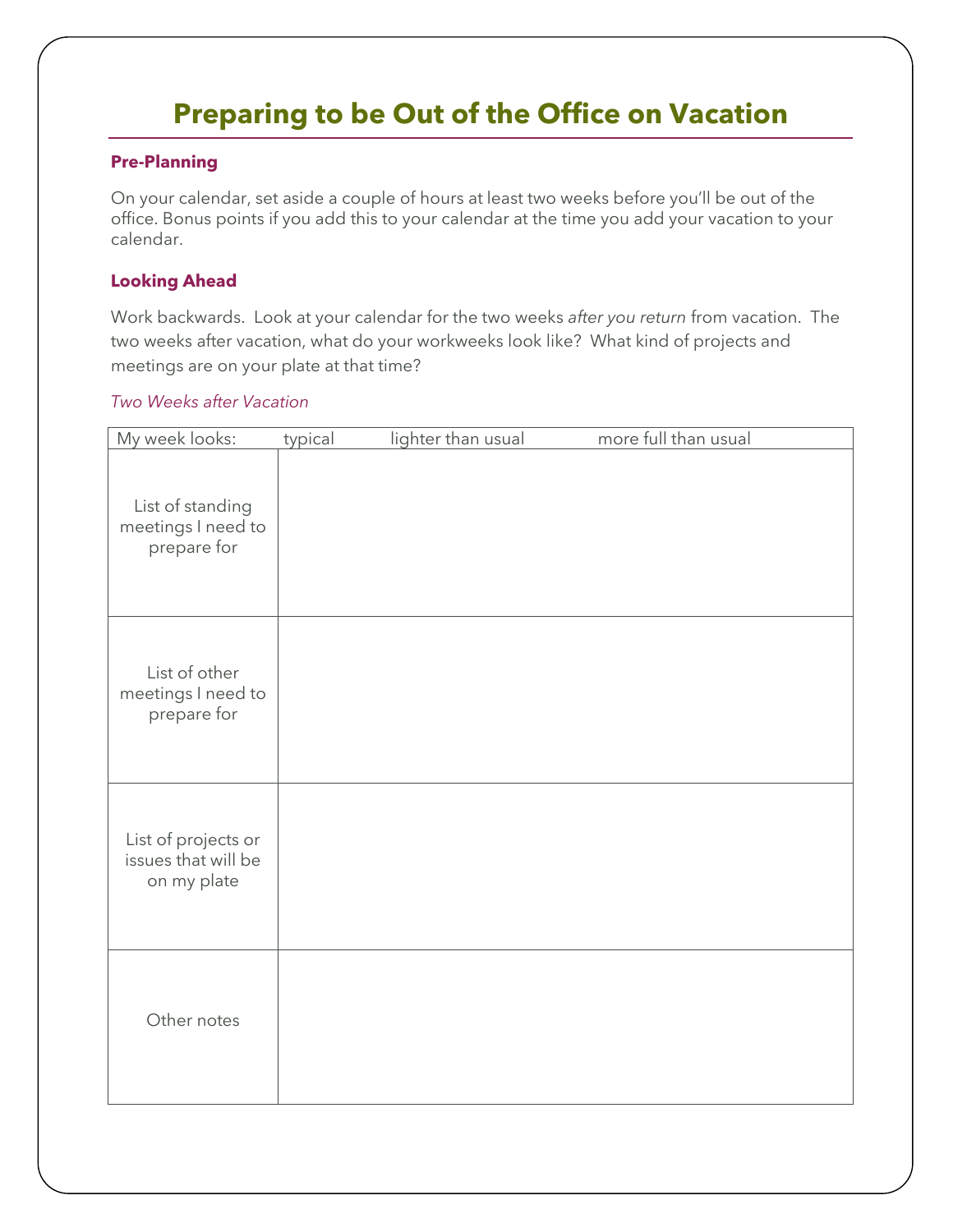# **Preparing to be Out of the Office on Vacation**

#### **Pre-Planning**

On your calendar, set aside a couple of hours at least two weeks before you'll be out of the office. Bonus points if you add this to your calendar at the time you add your vacation to your calendar.

#### **Looking Ahead**

Work backwards. Look at your calendar for the two weeks *after you return* from vacation. The two weeks after vacation, what do your workweeks look like? What kind of projects and meetings are on your plate at that time?

#### *Two Weeks after Vacation*

| My week looks:                                            | typical | lighter than usual | more full than usual |
|-----------------------------------------------------------|---------|--------------------|----------------------|
| List of standing<br>meetings I need to<br>prepare for     |         |                    |                      |
| List of other<br>meetings I need to<br>prepare for        |         |                    |                      |
| List of projects or<br>issues that will be<br>on my plate |         |                    |                      |
| Other notes                                               |         |                    |                      |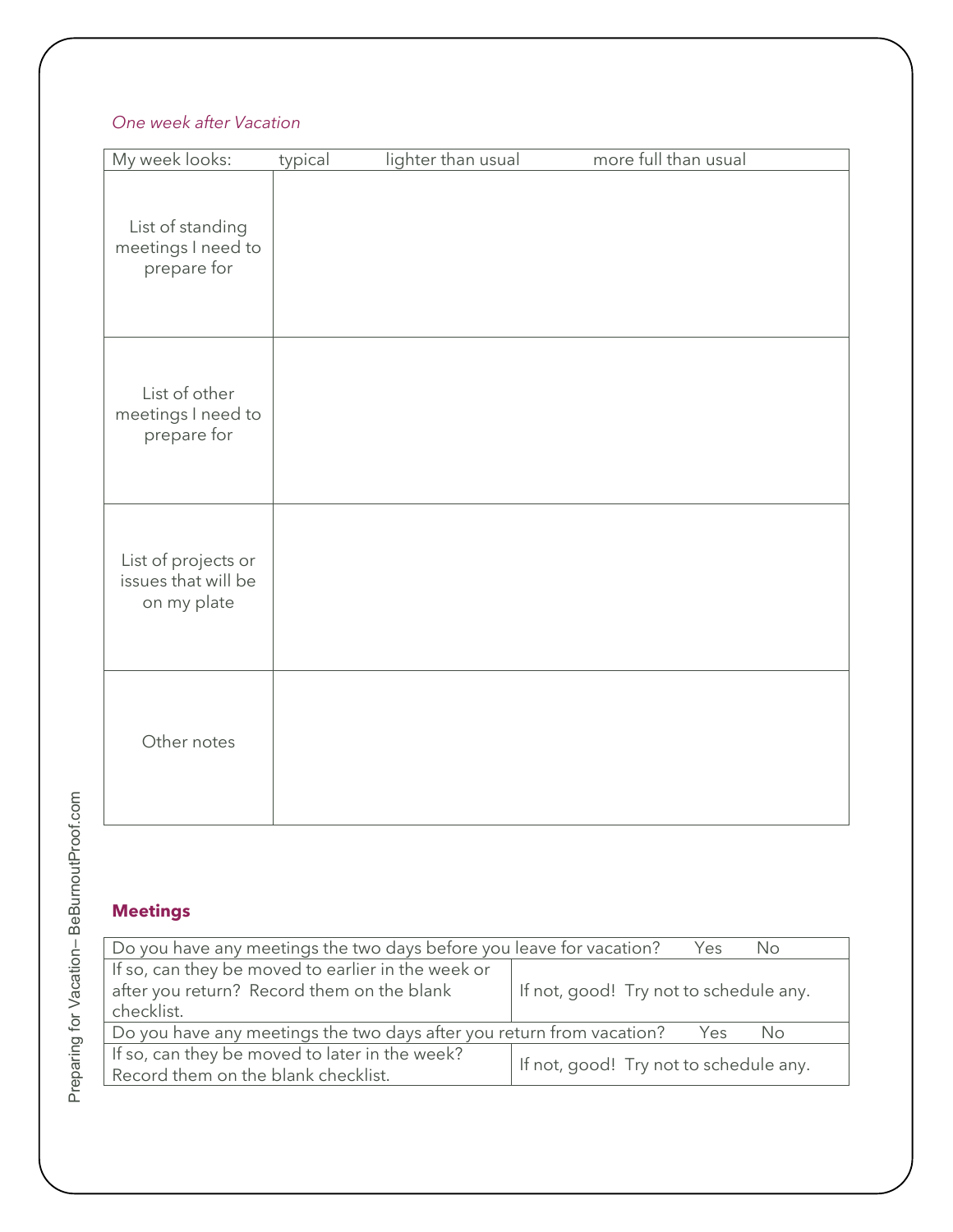## *One week after Vacation*

| My week looks:                                            | typical | lighter than usual | more full than usual |
|-----------------------------------------------------------|---------|--------------------|----------------------|
| List of standing<br>meetings I need to<br>prepare for     |         |                    |                      |
| List of other<br>meetings I need to<br>prepare for        |         |                    |                      |
| List of projects or<br>issues that will be<br>on my plate |         |                    |                      |
| Other notes                                               |         |                    |                      |

Preparing for Vacation-BeBurnoutProof.com – BeBurnoutProof.com Preparing for Vacation

## **Meetings**

| Do you have any meetings the two days before you leave for vacation?<br>Yes<br>No.                             |                                        |  |  |  |
|----------------------------------------------------------------------------------------------------------------|----------------------------------------|--|--|--|
| If so, can they be moved to earlier in the week or<br>after you return? Record them on the blank<br>checklist. | If not, good! Try not to schedule any. |  |  |  |
| Do you have any meetings the two days after you return from vacation?<br>Yes<br>No.                            |                                        |  |  |  |
| If so, can they be moved to later in the week?<br>Record them on the blank checklist.                          | If not, good! Try not to schedule any. |  |  |  |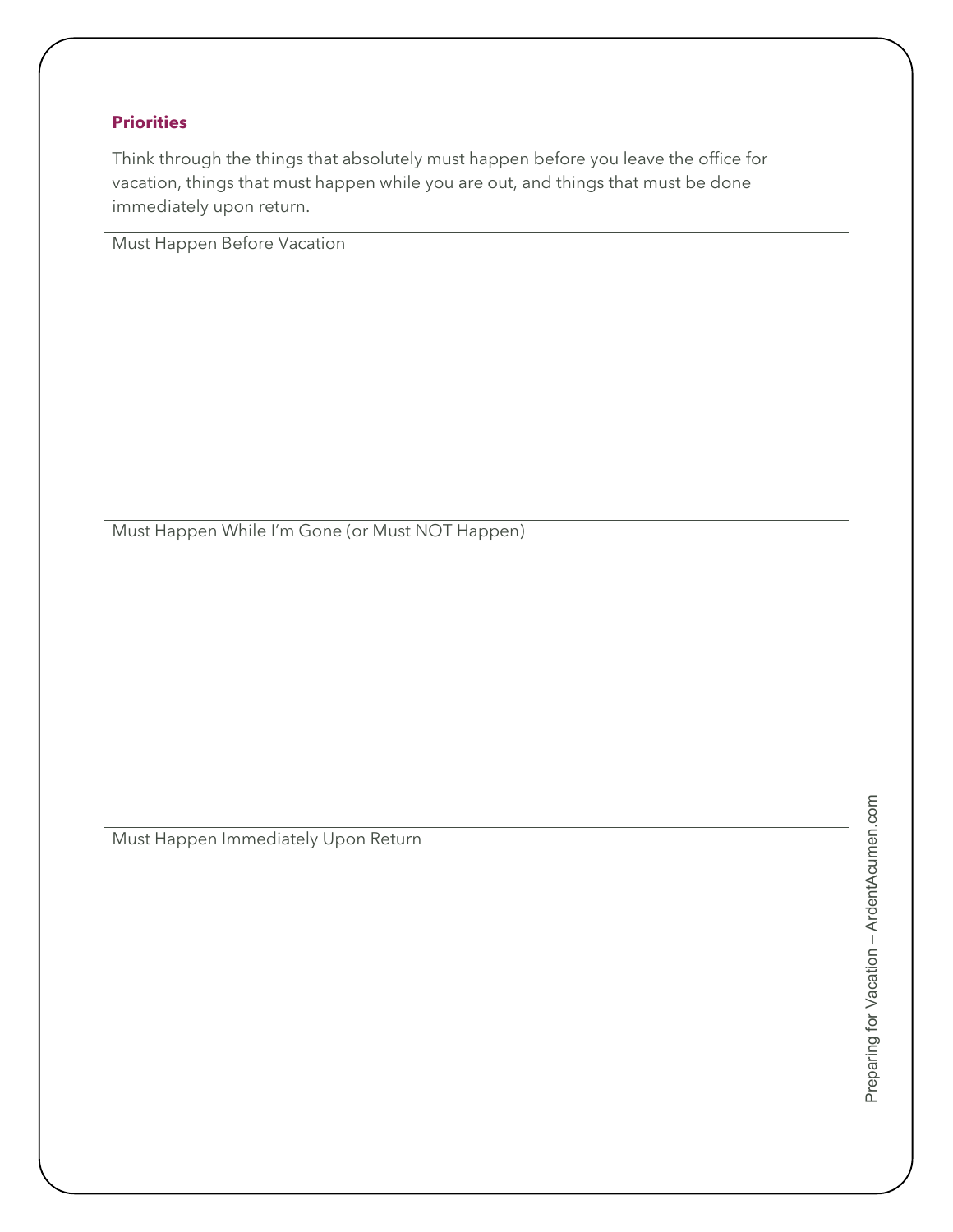#### **Priorities**

Think through the things that absolutely must happen before you leave the office for vacation, things that must happen while you are out, and things that must be done immediately upon return.

Must Happen Before Vacation

Must Happen While I'm Gone (or Must NOT Happen)

Must Happen Immediately Upon Return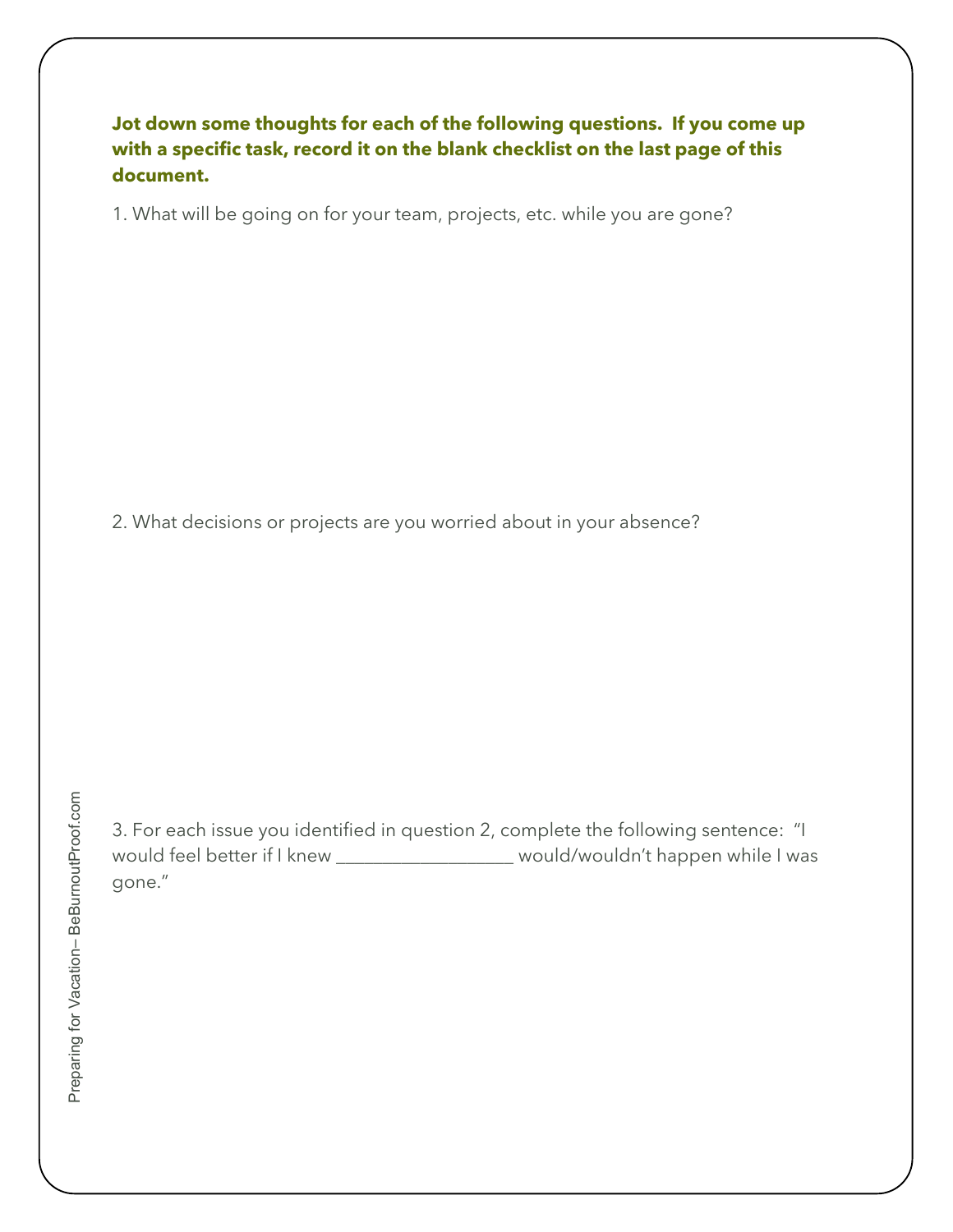## **Jot down some thoughts for each of the following questions. If you come up with a specific task, record it on the blank checklist on the last page of this document.**

1. What will be going on for your team, projects, etc. while you are gone?

2. What decisions or projects are you worried about in your absence?

3. For each issue you identified in question 2, complete the following sentence: "I would feel better if I knew \_\_\_\_\_\_\_\_\_\_\_\_\_\_\_\_\_\_\_\_ would/wouldn't happen while I was gone."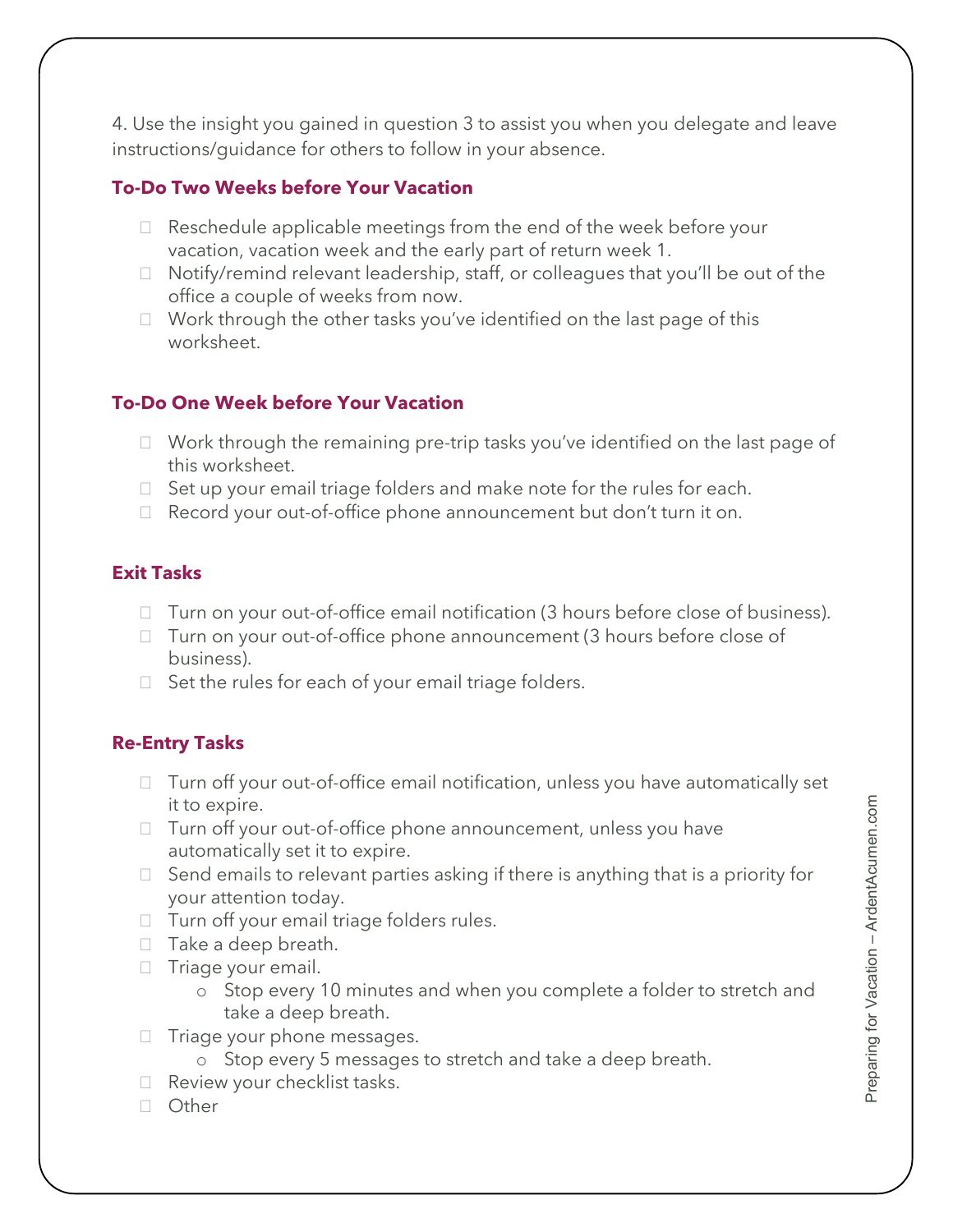4. Use the insight you gained in question 3 to assist you when you delegate and leave instructions/guidance for others to follow in your absence.

## **To-Do Two Weeks before Your Vacation**

- $\Box$  Reschedule applicable meetings from the end of the week before your vacation, vacation week and the early part of return week 1.
- $\Box$  Notify/remind relevant leadership, staff, or colleagues that you'll be out of the office a couple of weeks from now.
- $\Box$  Work through the other tasks you've identified on the last page of this worksheet.

## **To-Do One Week before Your Vacation**

- $\Box$  Work through the remaining pre-trip tasks you've identified on the last page of this worksheet.
- $\Box$  Set up your email triage folders and make note for the rules for each.
- □ Record your out-of-office phone announcement but don't turn it on.

#### **Exit Tasks**

- $\Box$  Turn on your out-of-office email notification (3 hours before close of business).
- $\Box$  Turn on your out-of-office phone announcement (3 hours before close of business).
- $\Box$  Set the rules for each of your email triage folders.

## **Re-Entry Tasks**

- $\Box$  Turn off your out-of-office email notification, unless you have automatically set it to expire.
- □ Turn off your out-of-office phone announcement, unless you have automatically set it to expire.
- $\Box$  Send emails to relevant parties asking if there is anything that is a priority for your attention today.
- $\Box$  Turn off your email triage folders rules.
- $\Box$  Take a deep breath.
- $\Box$  Triage your email.
	- o Stop every 10 minutes and when you complete a folder to stretch and take a deep breath.
- $\Box$  Triage your phone messages.
	- o Stop every 5 messages to stretch and take a deep breath.
- $\Box$  Review your checklist tasks.
- Other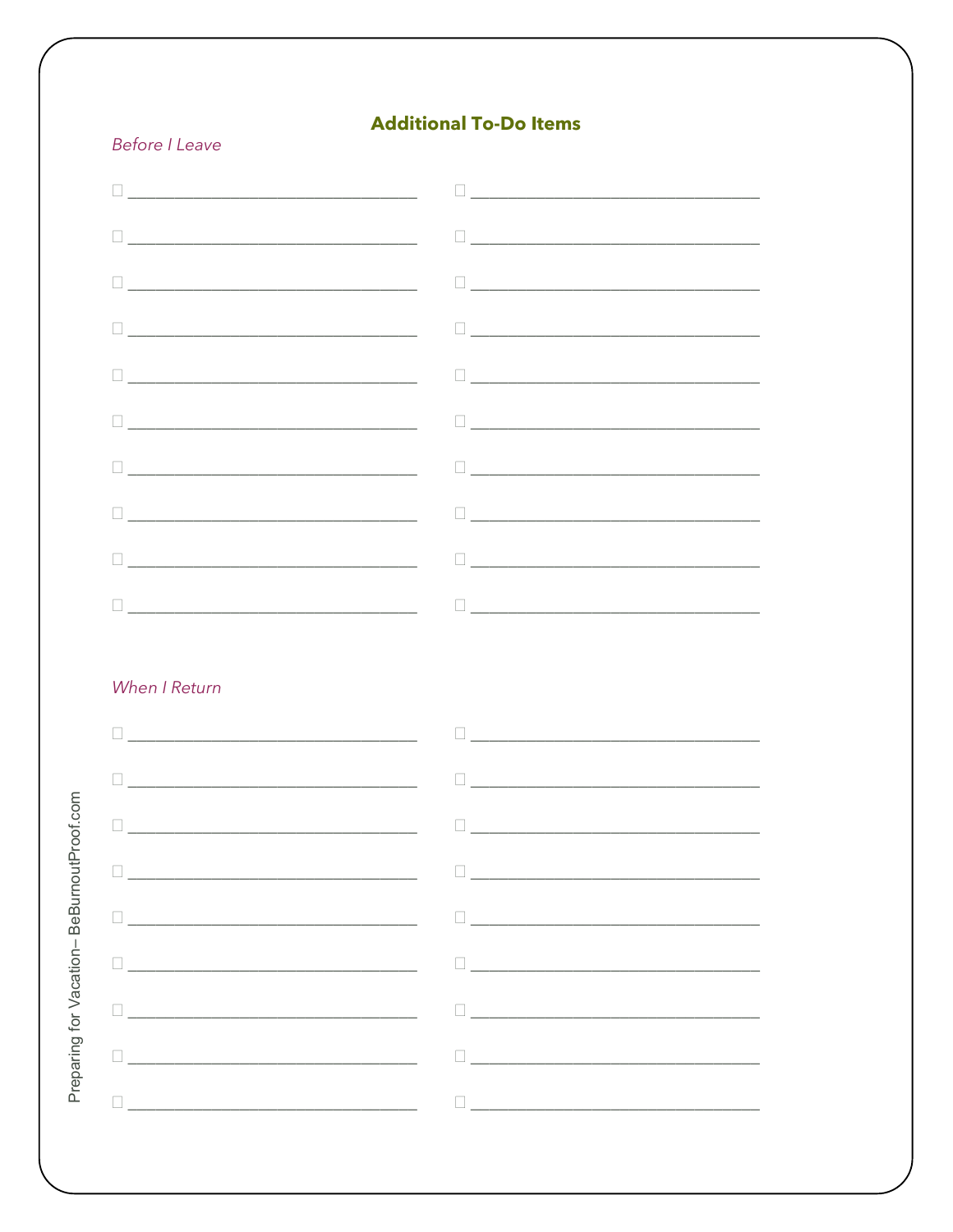## **Additional To-Do Items**

#### **Before I Leave**

| $\begin{picture}(10,10) \put(0,0){\vector(1,0){100}} \put(10,0){\vector(1,0){100}} \put(10,0){\vector(1,0){100}} \put(10,0){\vector(1,0){100}} \put(10,0){\vector(1,0){100}} \put(10,0){\vector(1,0){100}} \put(10,0){\vector(1,0){100}} \put(10,0){\vector(1,0){100}} \put(10,0){\vector(1,0){100}} \put(10,0){\vector(1,0){100}} \put(10,0){\vector(1,0){100}} \$ |
|---------------------------------------------------------------------------------------------------------------------------------------------------------------------------------------------------------------------------------------------------------------------------------------------------------------------------------------------------------------------|
|                                                                                                                                                                                                                                                                                                                                                                     |

#### When I Return